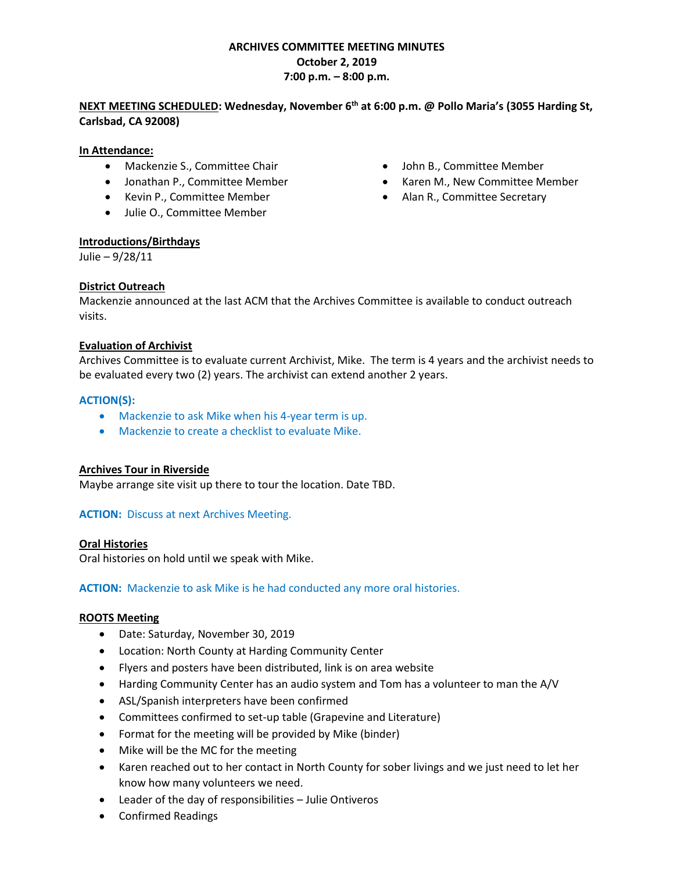# **ARCHIVES COMMITTEE MEETING MINUTES October 2, 2019 7:00 p.m. – 8:00 p.m.**

## **NEXT MEETING SCHEDULED: Wednesday, November 6th at 6:00 p.m. @ Pollo Maria's [\(3055 Harding St,](https://www.bing.com/local?lid=YN94x33195691&id=YN94x33195691&q=Pollos+Maria&name=Pollos+Maria&cp=33.1612434387207%7e-117.34431457519531&ppois=33.1612434387207_-117.34431457519531_Pollos+Maria&FORM=SNAPST)  [Carlsbad, CA 92008\)](https://www.bing.com/local?lid=YN94x33195691&id=YN94x33195691&q=Pollos+Maria&name=Pollos+Maria&cp=33.1612434387207%7e-117.34431457519531&ppois=33.1612434387207_-117.34431457519531_Pollos+Maria&FORM=SNAPST)**

### **In Attendance:**

- Mackenzie S., Committee Chair • John B., Committee Member
- 
- Kevin P., Committee Member
- Julie O., Committee Member

### **Introductions/Birthdays**

Julie – 9/28/11

## **District Outreach**

Mackenzie announced at the last ACM that the Archives Committee is available to conduct outreach visits.

### **Evaluation of Archivist**

Archives Committee is to evaluate current Archivist, Mike. The term is 4 years and the archivist needs to be evaluated every two (2) years. The archivist can extend another 2 years.

### **ACTION(S):**

- Mackenzie to ask Mike when his 4-year term is up.
- Mackenzie to create a checklist to evaluate Mike.

## **Archives Tour in Riverside**

Maybe arrange site visit up there to tour the location. Date TBD.

## **ACTION:** Discuss at next Archives Meeting.

#### **Oral Histories**

Oral histories on hold until we speak with Mike.

**ACTION:** Mackenzie to ask Mike is he had conducted any more oral histories.

#### **ROOTS Meeting**

- Date: Saturday, November 30, 2019
- Location: North County at Harding Community Center
- Flyers and posters have been distributed, link is on area website
- Harding Community Center has an audio system and Tom has a volunteer to man the A/V
- ASL/Spanish interpreters have been confirmed
- Committees confirmed to set-up table (Grapevine and Literature)
- Format for the meeting will be provided by Mike (binder)
- Mike will be the MC for the meeting
- Karen reached out to her contact in North County for sober livings and we just need to let her know how many volunteers we need.
- Leader of the day of responsibilities Julie Ontiveros
- Confirmed Readings
- 
- Jonathan P., Committee Member **•** Karen M., New Committee Member
	- Alan R., Committee Secretary